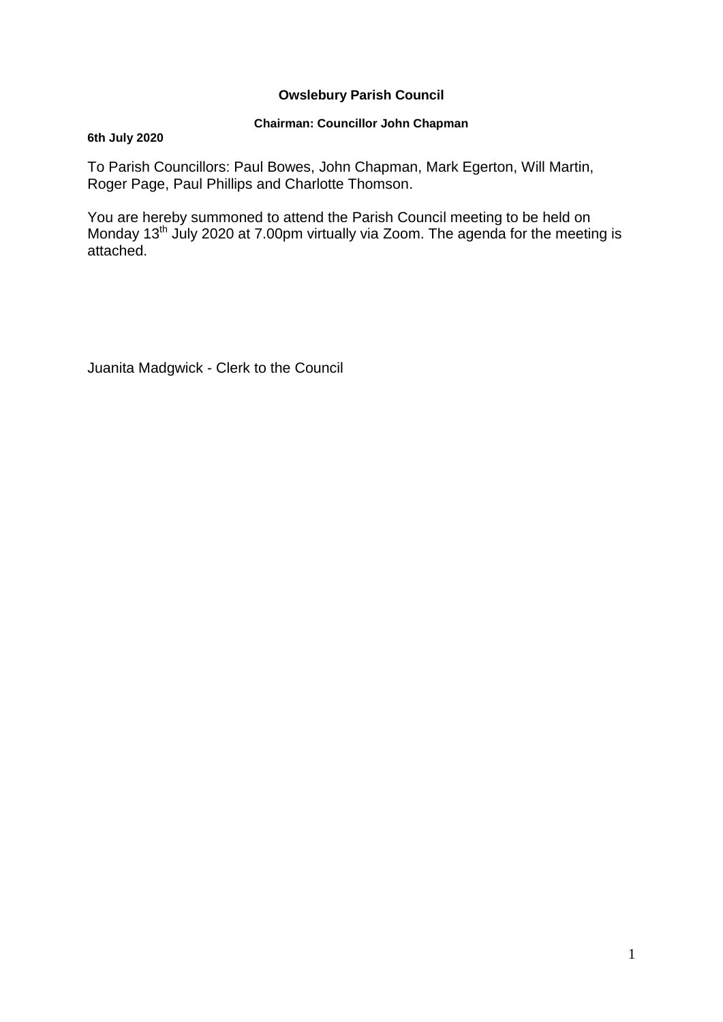## **Owslebury Parish Council**

## **Chairman: Councillor John Chapman**

### **6th July 2020**

To Parish Councillors: Paul Bowes, John Chapman, Mark Egerton, Will Martin, Roger Page, Paul Phillips and Charlotte Thomson.

You are hereby summoned to attend the Parish Council meeting to be held on Monday 13<sup>th</sup> July 2020 at 7.00pm virtually via Zoom. The agenda for the meeting is attached.

Juanita Madgwick - Clerk to the Council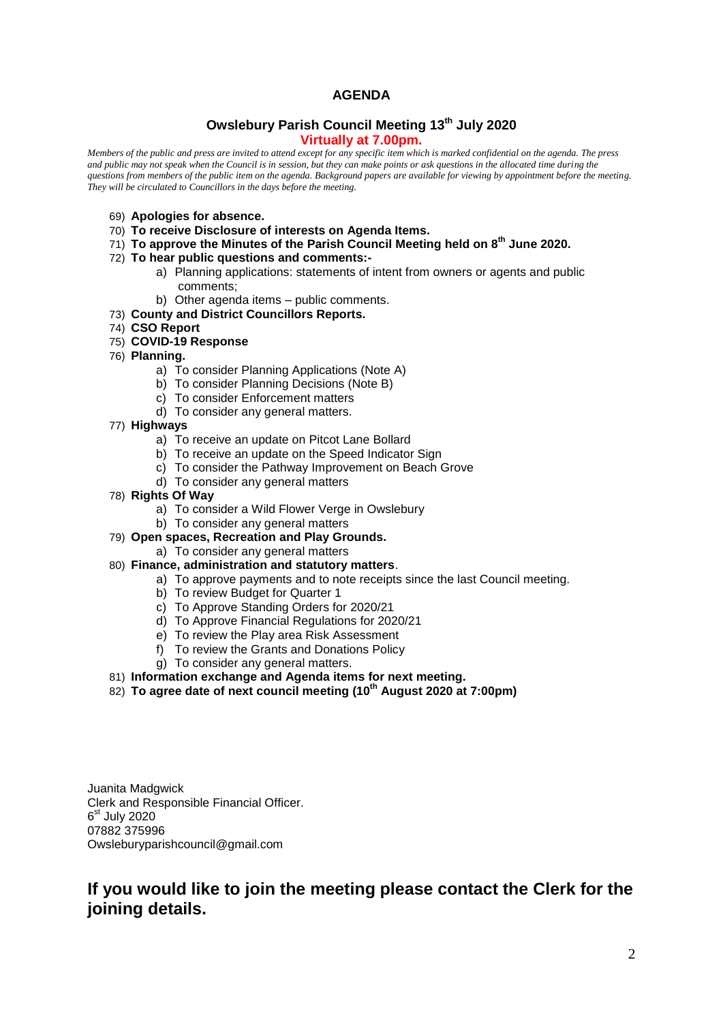## **AGENDA**

#### **Owslebury Parish Council Meeting 13th July 2020 Virtually at 7.00pm.**

*Members of the public and press are invited to attend except for any specific item which is marked confidential on the agenda. The press and public may not speak when the Council is in session, but they can make points or ask questions in the allocated time during the questions from members of the public item on the agenda. Background papers are available for viewing by appointment before the meeting. They will be circulated to Councillors in the days before the meeting.* 

- 69) **Apologies for absence.**
- 70) **To receive Disclosure of interests on Agenda Items.**
- 71) **To approve the Minutes of the Parish Council Meeting held on 8th June 2020.**
- 72) **To hear public questions and comments:**
	- a) Planning applications: statements of intent from owners or agents and public comments;
	- b) Other agenda items public comments.
- 73) **County and District Councillors Reports.**
- 74) **CSO Report**
- 75) **COVID-19 Response**
- 76) **Planning.** 
	- a) To consider Planning Applications (Note A)
	- b) To consider Planning Decisions (Note B)
	- c) To consider Enforcement matters
	- d) To consider any general matters.
- 77) **Highways**
	- a) To receive an update on Pitcot Lane Bollard
	- b) To receive an update on the Speed Indicator Sign
	- c) To consider the Pathway Improvement on Beach Grove
	- d) To consider any general matters
- 78) **Rights Of Way**
	- a) To consider a Wild Flower Verge in Owslebury
	- b) To consider any general matters
- 79) **Open spaces, Recreation and Play Grounds.**
	- a) To consider any general matters
- 80) **Finance, administration and statutory matters**.
	- a) To approve payments and to note receipts since the last Council meeting.
	- b) To review Budget for Quarter 1
	- c) To Approve Standing Orders for 2020/21
	- d) To Approve Financial Regulations for 2020/21
	- e) To review the Play area Risk Assessment
	- f) To review the Grants and Donations Policy
	- g) To consider any general matters.
- 81) **Information exchange and Agenda items for next meeting.**
- 82) **To agree date of next council meeting (10th August 2020 at 7:00pm)**

Juanita Madgwick Clerk and Responsible Financial Officer. 6<sup>st</sup> July 2020 07882 375996 Owsleburyparishcouncil@gmail.com

# **If you would like to join the meeting please contact the Clerk for the joining details.**